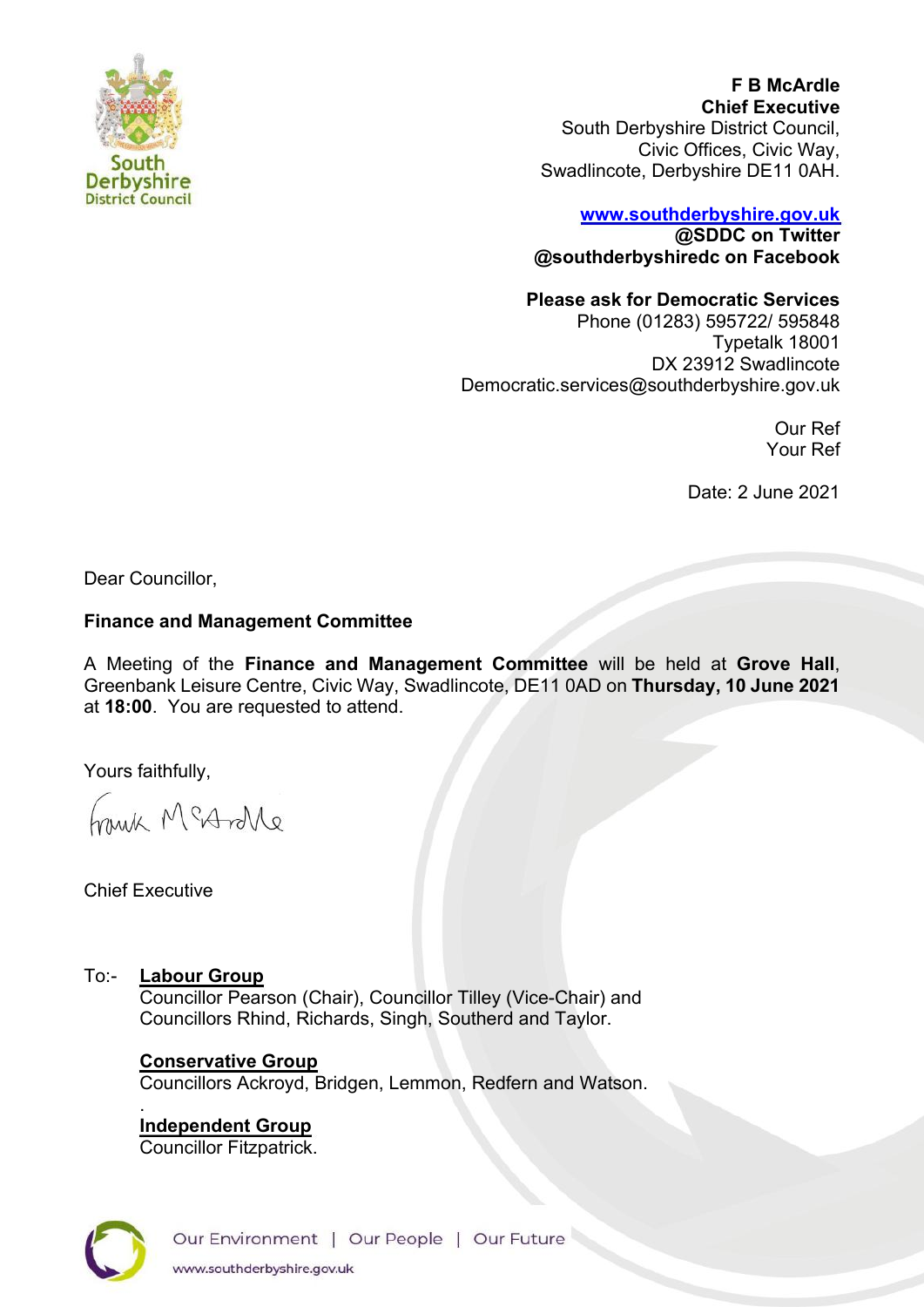

**F B McArdle Chief Executive** South Derbyshire District Council, Civic Offices, Civic Way, Swadlincote, Derbyshire DE11 0AH.

#### **[www.southderbyshire.gov.uk](http://www.southderbyshire.gov.uk/) @SDDC on Twitter**

**@southderbyshiredc on Facebook**

# **Please ask for Democratic Services**

Phone (01283) 595722/ 595848 Typetalk 18001 DX 23912 Swadlincote Democratic.services@southderbyshire.gov.uk

> Our Ref Your Ref

Date: 2 June 2021

Dear Councillor,

#### **Finance and Management Committee**

A Meeting of the **Finance and Management Committee** will be held at **Grove Hall**, Greenbank Leisure Centre, Civic Way, Swadlincote, DE11 0AD on **Thursday, 10 June 2021** at **18:00**. You are requested to attend.

Yours faithfully,

Anna McAnne

# Chief Executive

To:- **Labour Group**

Councillor Pearson (Chair), Councillor Tilley (Vice-Chair) and Councillors Rhind, Richards, Singh, Southerd and Taylor.

# **Conservative Group**

Councillors Ackroyd, Bridgen, Lemmon, Redfern and Watson.

. **Independent Group** 

Councillor Fitzpatrick.

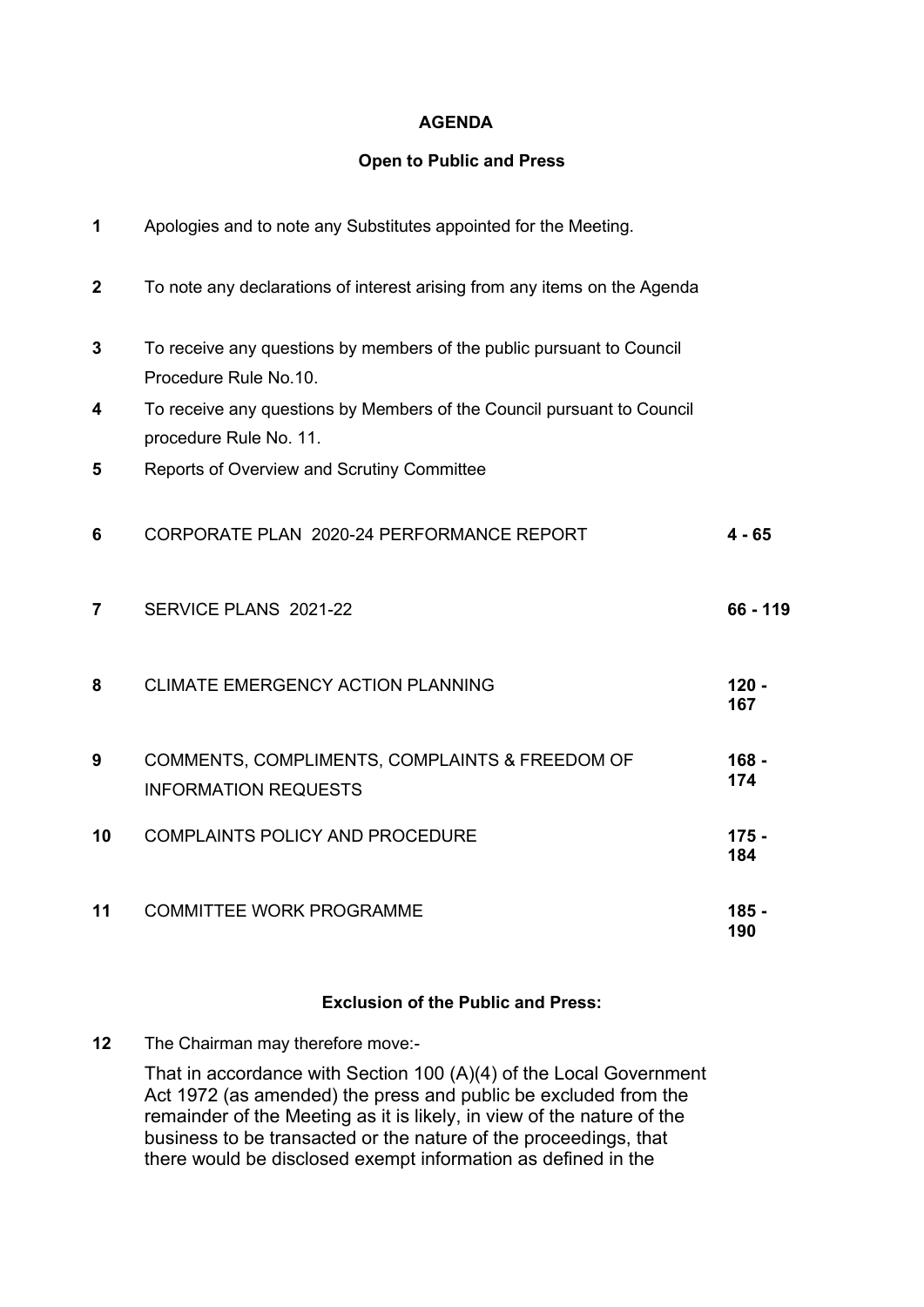#### **AGENDA**

#### **Open to Public and Press**

| 1              | Apologies and to note any Substitutes appointed for the Meeting.                                 |                |
|----------------|--------------------------------------------------------------------------------------------------|----------------|
| $\mathbf 2$    | To note any declarations of interest arising from any items on the Agenda                        |                |
| 3              | To receive any questions by members of the public pursuant to Council<br>Procedure Rule No.10.   |                |
| 4              | To receive any questions by Members of the Council pursuant to Council<br>procedure Rule No. 11. |                |
| 5              | Reports of Overview and Scrutiny Committee                                                       |                |
| 6              | CORPORATE PLAN 2020-24 PERFORMANCE REPORT                                                        | $4 - 65$       |
| $\overline{7}$ | SERVICE PLANS 2021-22                                                                            | 66 - 119       |
| 8              | CLIMATE EMERGENCY ACTION PLANNING                                                                | $120 -$<br>167 |
| 9              | COMMENTS, COMPLIMENTS, COMPLAINTS & FREEDOM OF<br><b>INFORMATION REQUESTS</b>                    | $168 -$<br>174 |
| 10             | <b>COMPLAINTS POLICY AND PROCEDURE</b>                                                           | $175 -$<br>184 |
| 11             | <b>COMMITTEE WORK PROGRAMME</b>                                                                  | 185<br>190     |

# **Exclusion of the Public and Press:**

**12** The Chairman may therefore move:-

That in accordance with Section 100 (A)(4) of the Local Government Act 1972 (as amended) the press and public be excluded from the remainder of the Meeting as it is likely, in view of the nature of the business to be transacted or the nature of the proceedings, that there would be disclosed exempt information as defined in the